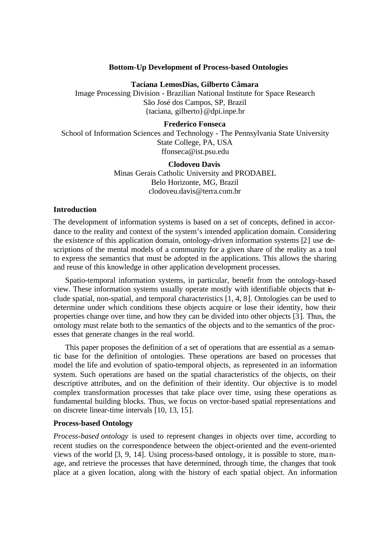# **Bottom-Up Development of Process-based Ontologies**

**Taciana LemosDias, Gilberto Câmara**

Image Processing Division - Brazilian National Institute for Space Research São José dos Campos, SP, Brazil {taciana, gilberto}@dpi.inpe.br

## **Frederico Fonseca**

School of Information Sciences and Technology - The Pennsylvania State University State College, PA, USA ffonseca@ist.psu.edu

## **Clodoveu Davis**

Minas Gerais Catholic University and PRODABEL Belo Horizonte, MG, Brazil clodoveu.davis@terra.com.br

# **Introduction**

The development of information systems is based on a set of concepts, defined in accordance to the reality and context of the system's intended application domain. Considering the existence of this application domain, ontology-driven information systems [2] use descriptions of the mental models of a community for a given share of the reality as a tool to express the semantics that must be adopted in the applications. This allows the sharing and reuse of this knowledge in other application development processes.

Spatio-temporal information systems, in particular, benefit from the ontology-based view. These information systems usually operate mostly with identifiable objects that include spatial, non-spatial, and temporal characteristics [1, 4, 8]. Ontologies can be used to determine under which conditions these objects acquire or lose their identity, how their properties change over time, and how they can be divided into other objects [3]. Thus, the ontology must relate both to the semantics of the objects and to the semantics of the processes that generate changes in the real world.

This paper proposes the definition of a set of operations that are essential as a semantic base for the definition of ontologies. These operations are based on processes that model the life and evolution of spatio-temporal objects, as represented in an information system. Such operations are based on the spatial characteristics of the objects, on their descriptive attributes, and on the definition of their identity. Our objective is to model complex transformation processes that take place over time, using these operations as fundamental building blocks. Thus, we focus on vector-based spatial representations and on discrete linear-time intervals [10, 13, 15].

# **Process-based Ontology**

*Process-based ontology* is used to represent changes in objects over time, according to recent studies on the correspondence between the object-oriented and the event-oriented views of the world [3, 9, 14]. Using process-based ontology, it is possible to store, manage, and retrieve the processes that have determined, through time, the changes that took place at a given location, along with the history of each spatial object. An information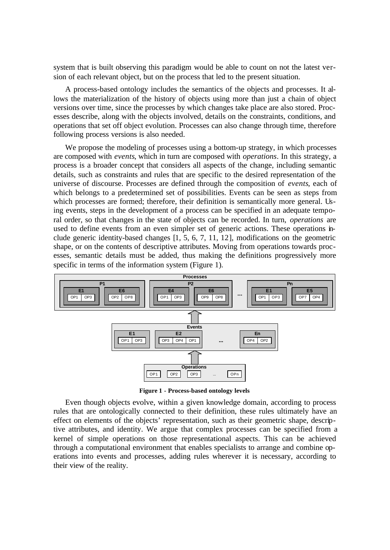system that is built observing this paradigm would be able to count on not the latest version of each relevant object, but on the process that led to the present situation.

A process-based ontology includes the semantics of the objects and processes. It allows the materialization of the history of objects using more than just a chain of object versions over time, since the processes by which changes take place are also stored. Processes describe, along with the objects involved, details on the constraints, conditions, and operations that set off object evolution. Processes can also change through time, therefore following process versions is also needed.

We propose the modeling of processes using a bottom-up strategy, in which processes are composed with *events*, which in turn are composed with *operations*. In this strategy, a process is a broader concept that considers all aspects of the change, including semantic details, such as constraints and rules that are specific to the desired representation of the universe of discourse. Processes are defined through the composition of *events*, each of which belongs to a predetermined set of possibilities. Events can be seen as steps from which processes are formed; therefore, their definition is semantically more general. Using events, steps in the development of a process can be specified in an adequate temporal order, so that changes in the state of objects can be recorded. In turn, *operations* are used to define events from an even simpler set of generic actions. These operations include generic identity-based changes [1, 5, 6, 7, 11, 12], modifications on the geometric shape, or on the contents of descriptive attributes. Moving from operations towards processes, semantic details must be added, thus making the definitions progressively more specific in terms of the information system (Figure 1).



**Figure 1 - Process-based ontology levels**

Even though objects evolve, within a given knowledge domain, according to process rules that are ontologically connected to their definition, these rules ultimately have an effect on elements of the objects' representation, such as their geometric shape, descriptive attributes, and identity. We argue that complex processes can be specified from a kernel of simple operations on those representational aspects. This can be achieved through a computational environment that enables specialists to arrange and combine operations into events and processes, adding rules wherever it is necessary, according to their view of the reality.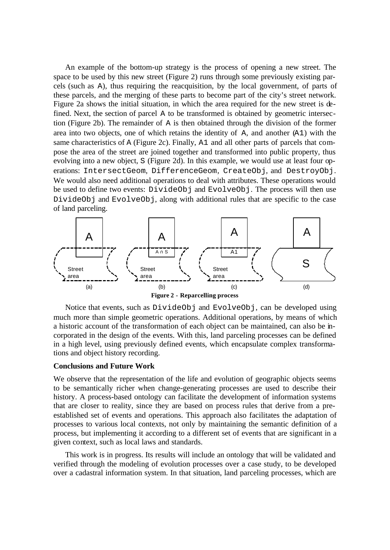An example of the bottom-up strategy is the process of opening a new street. The space to be used by this new street (Figure 2) runs through some previously existing parcels (such as A), thus requiring the reacquisition, by the local government, of parts of these parcels, and the merging of these parts to become part of the city's street network. Figure 2a shows the initial situation, in which the area required for the new street is defined. Next, the section of parcel A to be transformed is obtained by geometric intersection (Figure 2b). The remainder of A is then obtained through the division of the former area into two objects, one of which retains the identity of A, and another (A1) with the same characteristics of A (Figure 2c). Finally, A1 and all other parts of parcels that compose the area of the street are joined together and transformed into public property, thus evolving into a new object, S (Figure 2d). In this example, we would use at least four operations: IntersectGeom, DifferenceGeom, CreateObj, and DestroyObj. We would also need additional operations to deal with attributes. These operations would be used to define two events: DivideObj and EvolveObj. The process will then use DivideObj and EvolveObj, along with additional rules that are specific to the case of land parceling.



Notice that events, such as DivideObj and EvolveObj, can be developed using much more than simple geometric operations. Additional operations, by means of which a historic account of the transformation of each object can be maintained, can also be incorporated in the design of the events. With this, land parceling processes can be defined in a high level, using previously defined events, which encapsulate complex transformations and object history recording.

## **Conclusions and Future Work**

We observe that the representation of the life and evolution of geographic objects seems to be semantically richer when change-generating processes are used to describe their history. A process-based ontology can facilitate the development of information systems that are closer to reality, since they are based on process rules that derive from a preestablished set of events and operations. This approach also facilitates the adaptation of processes to various local contexts, not only by maintaining the semantic definition of a process, but implementing it according to a different set of events that are significant in a given context, such as local laws and standards.

This work is in progress. Its results will include an ontology that will be validated and verified through the modeling of evolution processes over a case study, to be developed over a cadastral information system. In that situation, land parceling processes, which are